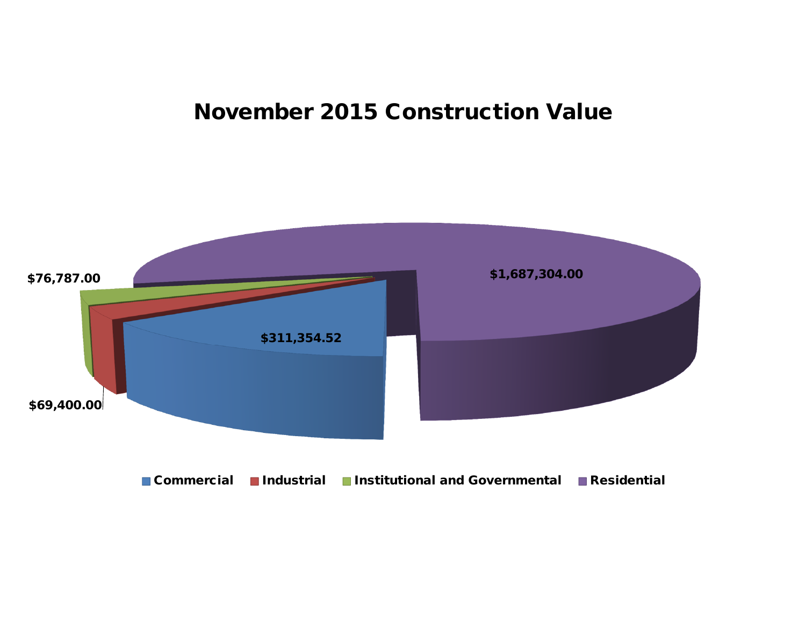## **November 2015 Construction Value**

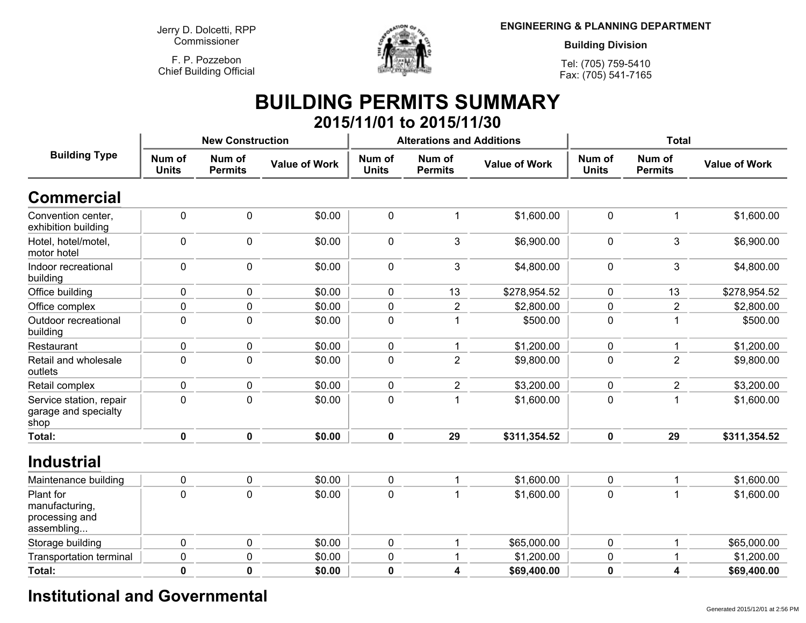**Jerry D. Dolcetti, RPPCommissioner**

**F. P. PozzebonChief Building Official**



**ENGINEERING & PLANNING DEPARTMENT**

**Building Division**

**Tel: (705) 759-5410Fax: (705) 541-7165**

### **BUILDING PERMITS SUMMARY 2015/11/01 to 2015/11/30**

| <b>Building Type</b>                                        |                        | <b>New Construction</b>  |                      |                        | <b>Alterations and Additions</b> |                      | <b>Total</b>           |                          |                      |
|-------------------------------------------------------------|------------------------|--------------------------|----------------------|------------------------|----------------------------------|----------------------|------------------------|--------------------------|----------------------|
|                                                             | Num of<br><b>Units</b> | Num of<br><b>Permits</b> | <b>Value of Work</b> | Num of<br><b>Units</b> | Num of<br><b>Permits</b>         | <b>Value of Work</b> | Num of<br><b>Units</b> | Num of<br><b>Permits</b> | <b>Value of Work</b> |
| <b>Commercial</b>                                           |                        |                          |                      |                        |                                  |                      |                        |                          |                      |
| Convention center,<br>exhibition building                   | $\pmb{0}$              | 0                        | \$0.00               | $\pmb{0}$              | $\mathbf 1$                      | \$1,600.00           | $\pmb{0}$              | $\mathbf 1$              | \$1,600.00           |
| Hotel, hotel/motel,<br>motor hotel                          | $\mathbf 0$            | 0                        | \$0.00               | $\mathbf 0$            | 3                                | \$6,900.00           | $\mathbf 0$            | 3                        | \$6,900.00           |
| Indoor recreational<br>building                             | $\mathbf 0$            | 0                        | \$0.00               | 0                      | 3                                | \$4,800.00           | 0                      | 3                        | \$4,800.00           |
| Office building                                             | 0                      | 0                        | \$0.00               | 0                      | 13                               | \$278,954.52         | 0                      | 13                       | \$278,954.52         |
| Office complex                                              | 0                      | 0                        | \$0.00               | 0                      | $\overline{c}$                   | \$2,800.00           | $\pmb{0}$              | 2                        | \$2,800.00           |
| Outdoor recreational<br>building                            | $\mathbf 0$            | 0                        | \$0.00               | $\mathbf 0$            | $\mathbf 1$                      | \$500.00             | $\mathbf 0$            | $\mathbf{1}$             | \$500.00             |
| Restaurant                                                  | 0                      | 0                        | \$0.00               | $\mathbf 0$            | 1                                | \$1,200.00           | $\mathbf 0$            | 1                        | \$1,200.00           |
| Retail and wholesale<br>outlets                             | 0                      | 0                        | \$0.00               | $\mathbf 0$            | $\overline{2}$                   | \$9,800.00           | $\mathbf 0$            | $\overline{2}$           | \$9,800.00           |
| Retail complex                                              | $\mathbf 0$            | 0                        | \$0.00               | $\mathbf 0$            | $\overline{c}$                   | \$3,200.00           | $\pmb{0}$              | $\overline{2}$           | \$3,200.00           |
| Service station, repair<br>garage and specialty<br>shop     | $\mathbf 0$            | $\Omega$                 | \$0.00               | 0                      | 1                                | \$1,600.00           | $\mathbf 0$            | 1                        | \$1,600.00           |
| Total:                                                      | $\mathbf 0$            | $\mathbf 0$              | \$0.00               | $\mathbf 0$            | 29                               | \$311,354.52         | $\mathbf 0$            | 29                       | \$311,354.52         |
| <b>Industrial</b>                                           |                        |                          |                      |                        |                                  |                      |                        |                          |                      |
| Maintenance building                                        | $\pmb{0}$              | 0                        | \$0.00               | $\pmb{0}$              | $\mathbf 1$                      | \$1,600.00           | $\pmb{0}$              | 1                        | \$1,600.00           |
| Plant for<br>manufacturing,<br>processing and<br>assembling | 0                      | 0                        | \$0.00               | 0                      | 1                                | \$1,600.00           | $\mathbf 0$            | $\mathbf 1$              | \$1,600.00           |
| Storage building                                            | $\mathbf 0$            | 0                        | \$0.00               | $\mathbf 0$            | $\mathbf{1}$                     | \$65,000.00          | $\mathbf 0$            | $\mathbf{1}$             | \$65,000.00          |
| <b>Transportation terminal</b>                              | 0                      | 0                        | \$0.00               | 0                      | 1                                | \$1,200.00           | $\mathbf 0$            | 1                        | \$1,200.00           |
| Total:                                                      | $\pmb{0}$              | $\mathbf 0$              | \$0.00               | 0                      | 4                                | \$69,400.00          | $\mathbf 0$            | 4                        | \$69,400.00          |
|                                                             |                        |                          |                      |                        |                                  |                      |                        |                          |                      |

## **Institutional and Governmental**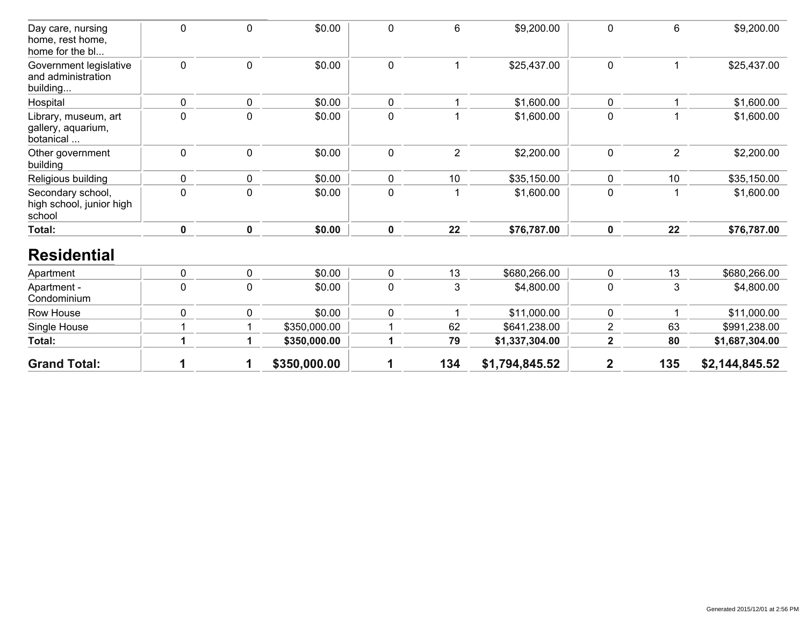| <b>Grand Total:</b>                                      |             |              | \$350,000.00 |             | 134            | \$1,794,845.52 | $\overline{2}$          | 135            | \$2,144,845.52 |
|----------------------------------------------------------|-------------|--------------|--------------|-------------|----------------|----------------|-------------------------|----------------|----------------|
| Total:                                                   |             |              | \$350,000.00 | 1           | 79             | \$1,337,304.00 | $\overline{\mathbf{2}}$ | 80             | \$1,687,304.00 |
| Single House                                             |             |              | \$350,000.00 |             | 62             | \$641,238.00   | 2                       | 63             | \$991,238.00   |
| Row House                                                | 0           | 0            | \$0.00       | 0           | 1              | \$11,000.00    | 0                       | 1              | \$11,000.00    |
| Apartment -<br>Condominium                               | $\mathbf 0$ | $\mathbf 0$  | \$0.00       | $\mathbf 0$ | 3              | \$4,800.00     | 0                       | 3              | \$4,800.00     |
| Apartment                                                | $\mathbf 0$ | $\mathbf 0$  | \$0.00       | $\mathbf 0$ | 13             | \$680,266.00   | 0                       | 13             | \$680,266.00   |
| <b>Residential</b>                                       |             |              |              |             |                |                |                         |                |                |
| Total:                                                   | $\mathbf 0$ | $\mathbf 0$  | \$0.00       | $\mathbf 0$ | 22             | \$76,787.00    | 0                       | 22             | \$76,787.00    |
| Secondary school,<br>high school, junior high<br>school  | $\mathbf 0$ | $\mathbf 0$  | \$0.00       | 0           |                | \$1,600.00     | 0                       | 1              | \$1,600.00     |
| Religious building                                       | 0           | $\mathbf{0}$ | \$0.00       | 0           | 10             | \$35,150.00    | 0                       | 10             | \$35,150.00    |
| Other government<br>building                             | $\mathbf 0$ | $\pmb{0}$    | \$0.00       | $\pmb{0}$   | $\overline{2}$ | \$2,200.00     | 0                       | $\overline{2}$ | \$2,200.00     |
| Library, museum, art<br>gallery, aquarium,<br>botanical  | $\pmb{0}$   | $\pmb{0}$    | \$0.00       | $\mathbf 0$ |                | \$1,600.00     | 0                       | 1              | \$1,600.00     |
| Hospital                                                 | $\mathbf 0$ | $\mathbf 0$  | \$0.00       | $\mathbf 0$ |                | \$1,600.00     | 0                       | 1              | \$1,600.00     |
| Government legislative<br>and administration<br>building | $\mathbf 0$ | $\mathbf 0$  | \$0.00       | $\mathbf 0$ |                | \$25,437.00    | 0                       | 1              | \$25,437.00    |
| Day care, nursing<br>home, rest home,<br>home for the bl | $\mathbf 0$ | $\mathbf 0$  | \$0.00       | 0           | 6              | \$9,200.00     | 0                       | 6              | \$9,200.00     |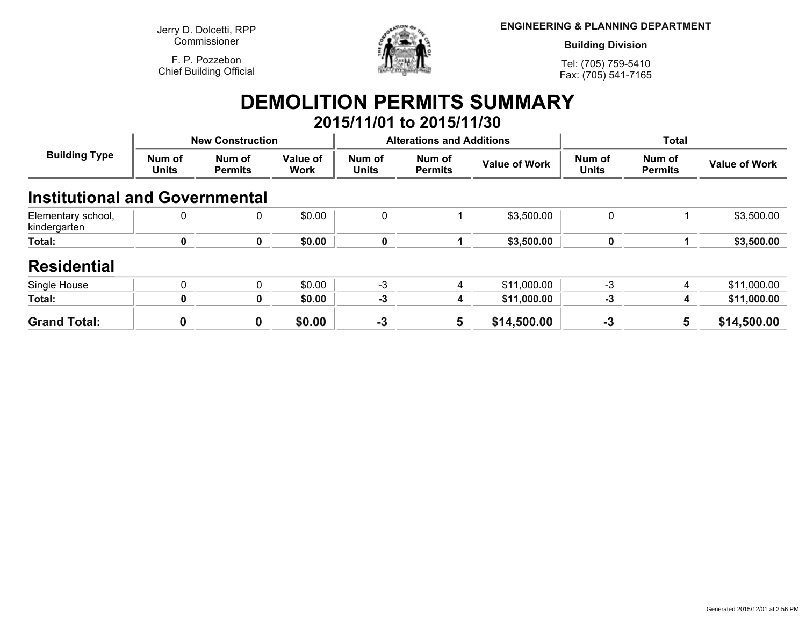**Jerry D. Dolcetti, RPPCommissioner**

**F. P. PozzebonChief Building Official**



**ENGINEERING & PLANNING DEPARTMENT**

**Building Division**

**Tel: (705) 759-5410Fax: (705) 541-7165**

# **DEMOLITION PERMITS SUMMARY**

|                                       |                         |                          |                         |                        | 2015/11/01 to 2015/11/30         |                      |                        |                          |                      |
|---------------------------------------|-------------------------|--------------------------|-------------------------|------------------------|----------------------------------|----------------------|------------------------|--------------------------|----------------------|
| <b>Building Type</b>                  | <b>New Construction</b> |                          |                         |                        | <b>Alterations and Additions</b> |                      | <b>Total</b>           |                          |                      |
|                                       | Num of<br><b>Units</b>  | Num of<br><b>Permits</b> | Value of<br><b>Work</b> | Num of<br><b>Units</b> | Num of<br><b>Permits</b>         | <b>Value of Work</b> | Num of<br><b>Units</b> | Num of<br><b>Permits</b> | <b>Value of Work</b> |
| <b>Institutional and Governmental</b> |                         |                          |                         |                        |                                  |                      |                        |                          |                      |
| Elementary school,<br>kindergarten    | 0                       | 0                        | \$0.00                  | 0                      |                                  | \$3,500.00           | 0                      |                          | \$3,500.00           |
| Total:                                | 0                       | 0                        | \$0.00                  | $\mathbf 0$            |                                  | \$3,500.00           | 0                      |                          | \$3,500.00           |
| <b>Residential</b>                    |                         |                          |                         |                        |                                  |                      |                        |                          |                      |
| Single House                          | 0                       | $\mathbf{0}$             | \$0.00                  | $-3$                   | 4                                | \$11,000.00          | $-3$                   | 4                        | \$11,000.00          |
| Total:                                | 0                       | 0                        | \$0.00                  | $-3$                   | 4                                | \$11,000.00          | -3                     | 4                        | \$11,000.00          |
| <b>Grand Total:</b>                   |                         | $\mathbf 0$              | \$0.00                  | $-3$                   | 5                                | \$14,500.00          | $-3$                   | 5                        | \$14,500.00          |